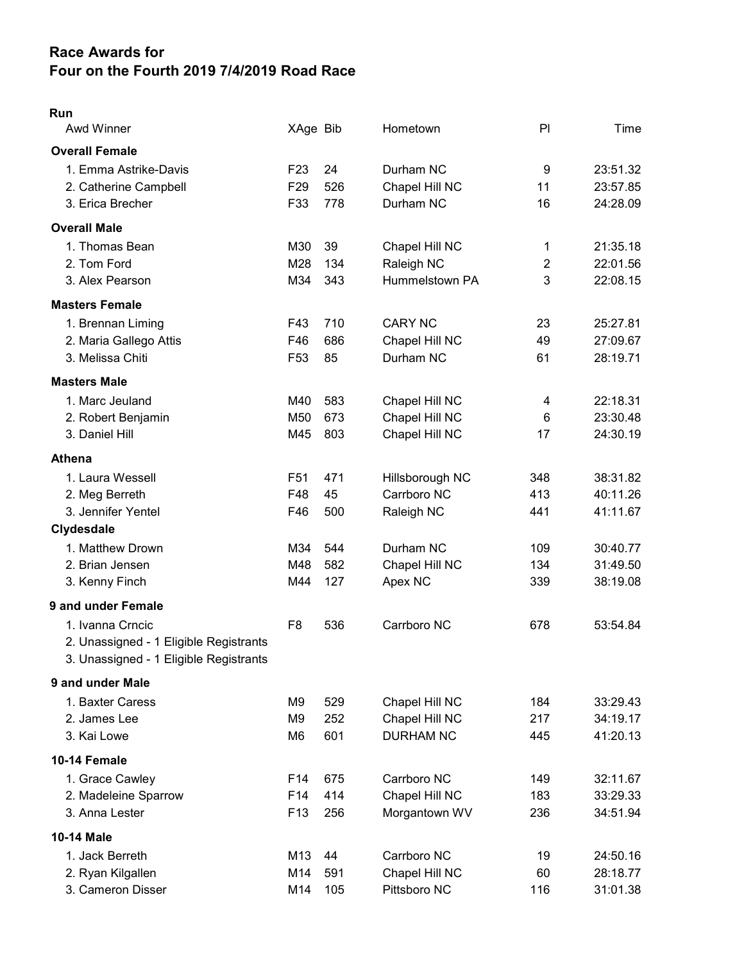## Race Awards for Four on the Fourth 2019 7/4/2019 Road Race

## Run

| <b>Awd Winner</b>                      | XAge Bib        |     | Hometown         | PI             | Time     |
|----------------------------------------|-----------------|-----|------------------|----------------|----------|
| <b>Overall Female</b>                  |                 |     |                  |                |          |
| 1. Emma Astrike-Davis                  | F <sub>23</sub> | 24  | Durham NC        | 9              | 23:51.32 |
| 2. Catherine Campbell                  | F <sub>29</sub> | 526 | Chapel Hill NC   | 11             | 23:57.85 |
| 3. Erica Brecher                       | F33             | 778 | Durham NC        | 16             | 24:28.09 |
| <b>Overall Male</b>                    |                 |     |                  |                |          |
| 1. Thomas Bean                         | M30             | 39  | Chapel Hill NC   | 1              | 21:35.18 |
| 2. Tom Ford                            | M28             | 134 | Raleigh NC       | $\overline{2}$ | 22:01.56 |
| 3. Alex Pearson                        | M34             | 343 | Hummelstown PA   | 3              | 22:08.15 |
| <b>Masters Female</b>                  |                 |     |                  |                |          |
| 1. Brennan Liming                      | F43             | 710 | <b>CARY NC</b>   | 23             | 25:27.81 |
| 2. Maria Gallego Attis                 | F46             | 686 | Chapel Hill NC   | 49             | 27:09.67 |
| 3. Melissa Chiti                       | F <sub>53</sub> | 85  | Durham NC        | 61             | 28:19.71 |
| <b>Masters Male</b>                    |                 |     |                  |                |          |
| 1. Marc Jeuland                        | M40             | 583 | Chapel Hill NC   | 4              | 22:18.31 |
| 2. Robert Benjamin                     | M50             | 673 | Chapel Hill NC   | 6              | 23:30.48 |
| 3. Daniel Hill                         | M45             | 803 | Chapel Hill NC   | 17             | 24:30.19 |
| <b>Athena</b>                          |                 |     |                  |                |          |
| 1. Laura Wessell                       | F <sub>51</sub> | 471 | Hillsborough NC  | 348            | 38:31.82 |
| 2. Meg Berreth                         | F48             | 45  | Carrboro NC      | 413            | 40:11.26 |
| 3. Jennifer Yentel                     | F46             | 500 | Raleigh NC       | 441            | 41:11.67 |
| Clydesdale                             |                 |     |                  |                |          |
| 1. Matthew Drown                       | M34             | 544 | Durham NC        | 109            | 30:40.77 |
| 2. Brian Jensen                        | M48             | 582 | Chapel Hill NC   | 134            | 31:49.50 |
| 3. Kenny Finch                         | M44             | 127 | Apex NC          | 339            | 38:19.08 |
| 9 and under Female                     |                 |     |                  |                |          |
| 1. Ivanna Crncic                       | F <sub>8</sub>  | 536 | Carrboro NC      | 678            | 53:54.84 |
| 2. Unassigned - 1 Eligible Registrants |                 |     |                  |                |          |
| 3. Unassigned - 1 Eligible Registrants |                 |     |                  |                |          |
| 9 and under Male                       |                 |     |                  |                |          |
| 1. Baxter Caress                       | M <sub>9</sub>  | 529 | Chapel Hill NC   | 184            | 33:29.43 |
| 2. James Lee                           | M <sub>9</sub>  | 252 | Chapel Hill NC   | 217            | 34:19.17 |
| 3. Kai Lowe                            | M6              | 601 | <b>DURHAM NC</b> | 445            | 41:20.13 |
| 10-14 Female                           |                 |     |                  |                |          |
| 1. Grace Cawley                        | F <sub>14</sub> | 675 | Carrboro NC      | 149            | 32:11.67 |
| 2. Madeleine Sparrow                   | F14             | 414 | Chapel Hill NC   | 183            | 33:29.33 |
| 3. Anna Lester                         | F <sub>13</sub> | 256 | Morgantown WV    | 236            | 34:51.94 |
| 10-14 Male                             |                 |     |                  |                |          |
| 1. Jack Berreth                        | M13             | 44  | Carrboro NC      | 19             | 24:50.16 |
| 2. Ryan Kilgallen                      | M14             | 591 | Chapel Hill NC   | 60             | 28:18.77 |
| 3. Cameron Disser                      | M14             | 105 | Pittsboro NC     | 116            | 31:01.38 |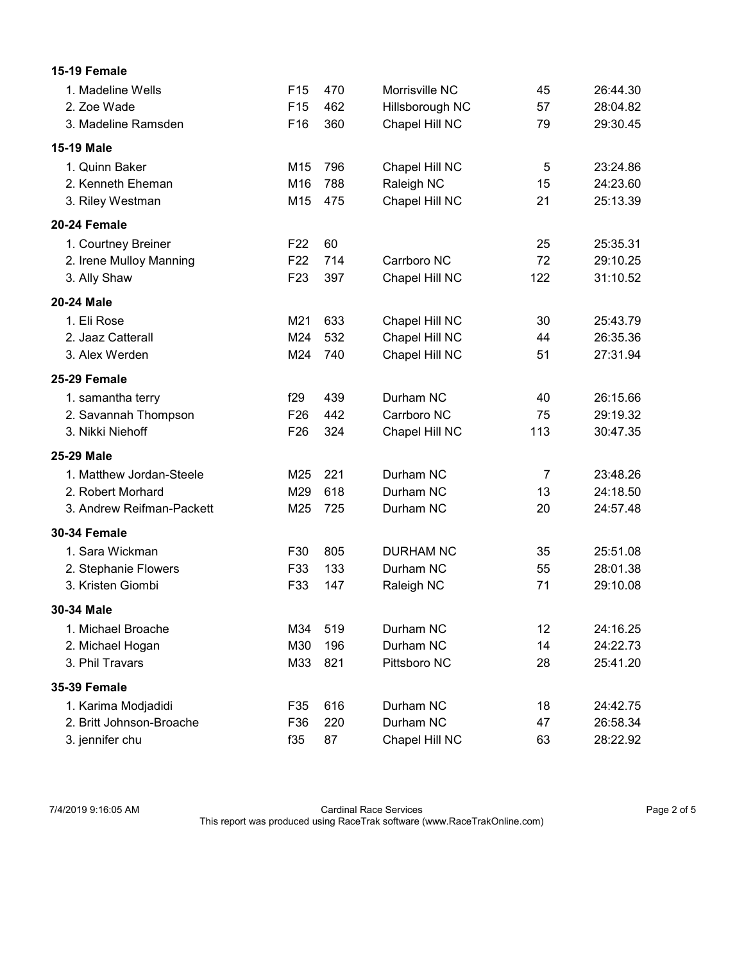| 15-19 Female              |                 |     |                  |                |          |
|---------------------------|-----------------|-----|------------------|----------------|----------|
| 1. Madeline Wells         | F <sub>15</sub> | 470 | Morrisville NC   | 45             | 26:44.30 |
| 2. Zoe Wade               | F <sub>15</sub> | 462 | Hillsborough NC  | 57             | 28:04.82 |
| 3. Madeline Ramsden       | F16             | 360 | Chapel Hill NC   | 79             | 29:30.45 |
| <b>15-19 Male</b>         |                 |     |                  |                |          |
| 1. Quinn Baker            | M <sub>15</sub> | 796 | Chapel Hill NC   | 5              | 23:24.86 |
| 2. Kenneth Eheman         | M16             | 788 | Raleigh NC       | 15             | 24:23.60 |
| 3. Riley Westman          | M15             | 475 | Chapel Hill NC   | 21             | 25:13.39 |
| 20-24 Female              |                 |     |                  |                |          |
| 1. Courtney Breiner       | F <sub>22</sub> | 60  |                  | 25             | 25:35.31 |
| 2. Irene Mulloy Manning   | F <sub>22</sub> | 714 | Carrboro NC      | 72             | 29:10.25 |
| 3. Ally Shaw              | F <sub>23</sub> | 397 | Chapel Hill NC   | 122            | 31:10.52 |
| 20-24 Male                |                 |     |                  |                |          |
| 1. Eli Rose               | M21             | 633 | Chapel Hill NC   | 30             | 25:43.79 |
| 2. Jaaz Catterall         | M24             | 532 | Chapel Hill NC   | 44             | 26:35.36 |
| 3. Alex Werden            | M24             | 740 | Chapel Hill NC   | 51             | 27:31.94 |
| 25-29 Female              |                 |     |                  |                |          |
| 1. samantha terry         | f29             | 439 | Durham NC        | 40             | 26:15.66 |
| 2. Savannah Thompson      | F <sub>26</sub> | 442 | Carrboro NC      | 75             | 29:19.32 |
| 3. Nikki Niehoff          | F <sub>26</sub> | 324 | Chapel Hill NC   | 113            | 30:47.35 |
| 25-29 Male                |                 |     |                  |                |          |
| 1. Matthew Jordan-Steele  | M25             | 221 | Durham NC        | $\overline{7}$ | 23:48.26 |
| 2. Robert Morhard         | M29             | 618 | Durham NC        | 13             | 24:18.50 |
| 3. Andrew Reifman-Packett | M25             | 725 | Durham NC        | 20             | 24:57.48 |
| <b>30-34 Female</b>       |                 |     |                  |                |          |
| 1. Sara Wickman           | F30             | 805 | <b>DURHAM NC</b> | 35             | 25:51.08 |
| 2. Stephanie Flowers      | F33             | 133 | Durham NC        | 55             | 28:01.38 |
| 3. Kristen Giombi         | F33             | 147 | Raleigh NC       | 71             | 29:10.08 |
| 30-34 Male                |                 |     |                  |                |          |
| 1. Michael Broache        | M34             | 519 | Durham NC        | 12             | 24:16.25 |
| 2. Michael Hogan          | M30             | 196 | Durham NC        | 14             | 24:22.73 |
| 3. Phil Travars           | M33             | 821 | Pittsboro NC     | 28             | 25:41.20 |
| <b>35-39 Female</b>       |                 |     |                  |                |          |
| 1. Karima Modjadidi       | F35             | 616 | Durham NC        | 18             | 24:42.75 |
| 2. Britt Johnson-Broache  | F36             | 220 | Durham NC        | 47             | 26:58.34 |
| 3. jennifer chu           | f35             | 87  | Chapel Hill NC   | 63             | 28:22.92 |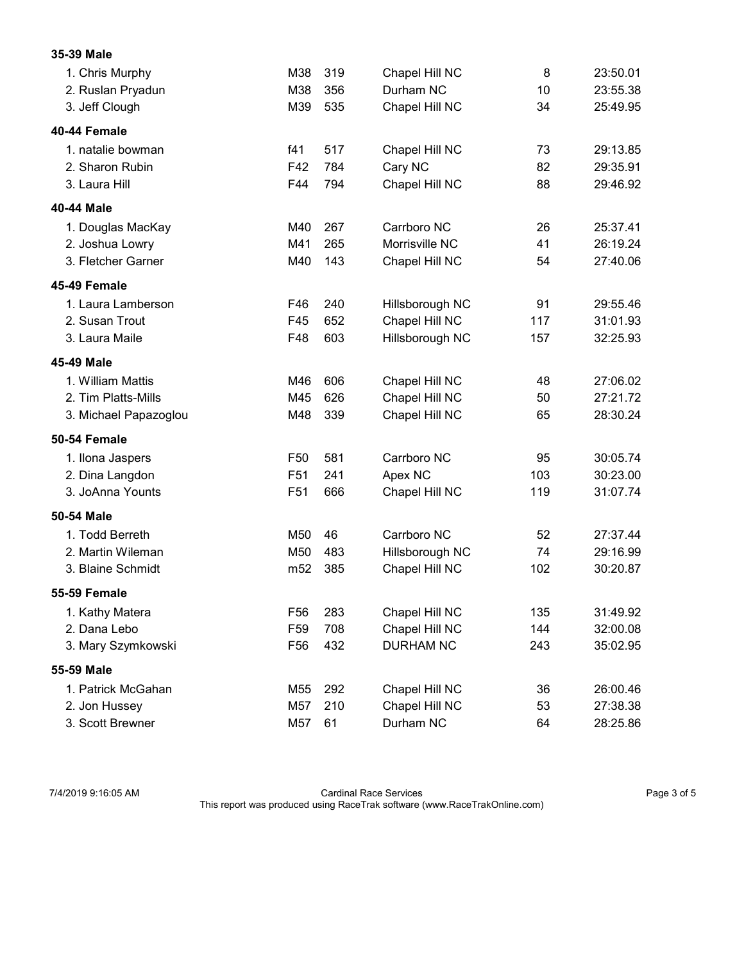| 35-39 Male            |                 |     |                  |     |          |
|-----------------------|-----------------|-----|------------------|-----|----------|
| 1. Chris Murphy       | M38             | 319 | Chapel Hill NC   | 8   | 23:50.01 |
| 2. Ruslan Pryadun     | M38             | 356 | Durham NC        | 10  | 23:55.38 |
| 3. Jeff Clough        | M39             | 535 | Chapel Hill NC   | 34  | 25:49.95 |
| 40-44 Female          |                 |     |                  |     |          |
| 1. natalie bowman     | f41             | 517 | Chapel Hill NC   | 73  | 29:13.85 |
| 2. Sharon Rubin       | F42             | 784 | Cary NC          | 82  | 29:35.91 |
| 3. Laura Hill         | F44             | 794 | Chapel Hill NC   | 88  | 29:46.92 |
| 40-44 Male            |                 |     |                  |     |          |
| 1. Douglas MacKay     | M40             | 267 | Carrboro NC      | 26  | 25:37.41 |
| 2. Joshua Lowry       | M41             | 265 | Morrisville NC   | 41  | 26:19.24 |
| 3. Fletcher Garner    | M40             | 143 | Chapel Hill NC   | 54  | 27:40.06 |
| 45-49 Female          |                 |     |                  |     |          |
| 1. Laura Lamberson    | F46             | 240 | Hillsborough NC  | 91  | 29:55.46 |
| 2. Susan Trout        | F45             | 652 | Chapel Hill NC   | 117 | 31:01.93 |
| 3. Laura Maile        | F48             | 603 | Hillsborough NC  | 157 | 32:25.93 |
| 45-49 Male            |                 |     |                  |     |          |
| 1. William Mattis     | M46             | 606 | Chapel Hill NC   | 48  | 27:06.02 |
| 2. Tim Platts-Mills   | M45             | 626 | Chapel Hill NC   | 50  | 27:21.72 |
| 3. Michael Papazoglou | M48             | 339 | Chapel Hill NC   | 65  | 28:30.24 |
| 50-54 Female          |                 |     |                  |     |          |
| 1. Ilona Jaspers      | F <sub>50</sub> | 581 | Carrboro NC      | 95  | 30:05.74 |
| 2. Dina Langdon       | F51             | 241 | Apex NC          | 103 | 30:23.00 |
| 3. JoAnna Younts      | F51             | 666 | Chapel Hill NC   | 119 | 31:07.74 |
| 50-54 Male            |                 |     |                  |     |          |
| 1. Todd Berreth       | M50             | 46  | Carrboro NC      | 52  | 27:37.44 |
| 2. Martin Wileman     | M50             | 483 | Hillsborough NC  | 74  | 29:16.99 |
| 3. Blaine Schmidt     | m <sub>52</sub> | 385 | Chapel Hill NC   | 102 | 30:20.87 |
| 55-59 Female          |                 |     |                  |     |          |
| 1. Kathy Matera       | F <sub>56</sub> | 283 | Chapel Hill NC   | 135 | 31:49.92 |
| 2. Dana Lebo          | F <sub>59</sub> | 708 | Chapel Hill NC   | 144 | 32:00.08 |
| 3. Mary Szymkowski    | F56             | 432 | <b>DURHAM NC</b> | 243 | 35:02.95 |
| 55-59 Male            |                 |     |                  |     |          |
| 1. Patrick McGahan    | M55             | 292 | Chapel Hill NC   | 36  | 26:00.46 |
| 2. Jon Hussey         | M57             | 210 | Chapel Hill NC   | 53  | 27:38.38 |
| 3. Scott Brewner      | M57             | 61  | Durham NC        | 64  | 28:25.86 |

7/4/2019 9:16:05 AM Cardinal Race Services Page 3 of 5 This report was produced using RaceTrak software (www.RaceTrakOnline.com)